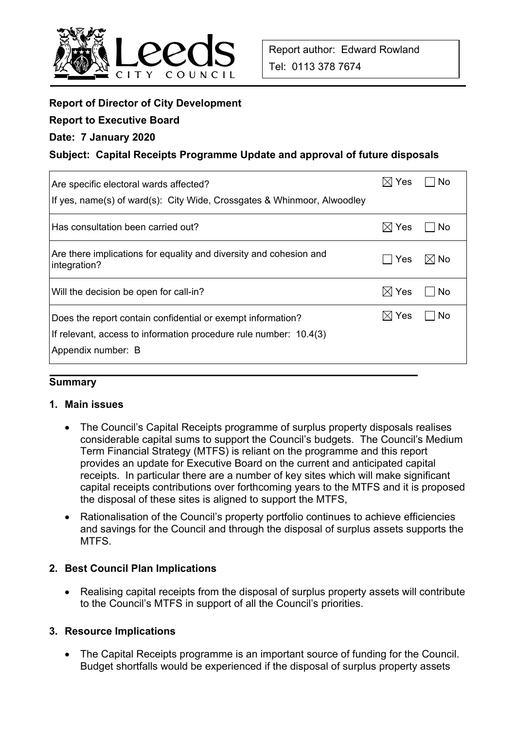

# **Report of Director of City Development**

## **Report to Executive Board**

## **Date: 7 January 2020**

# **Subject: Capital Receipts Programme Update and approval of future disposals**

| Are specific electoral wards affected?<br>If yes, name(s) of ward(s): City Wide, Crossgates & Whinmoor, Alwoodley                                      | $\times$ l Yes  | No    |
|--------------------------------------------------------------------------------------------------------------------------------------------------------|-----------------|-------|
| Has consultation been carried out?                                                                                                                     | $\boxtimes$ Yes | l No  |
| Are there implications for equality and diversity and cohesion and<br>integration?                                                                     | <b>Yes</b>      | ⊠l No |
| Will the decision be open for call-in?                                                                                                                 | $\boxtimes$ Yes | No    |
| Does the report contain confidential or exempt information?<br>If relevant, access to information procedure rule number: 10.4(3)<br>Appendix number: B | $\boxtimes$ Yes | No    |

#### **Summary**

#### **1. Main issues**

- The Council's Capital Receipts programme of surplus property disposals realises considerable capital sums to support the Council's budgets. The Council's Medium Term Financial Strategy (MTFS) is reliant on the programme and this report provides an update for Executive Board on the current and anticipated capital receipts. In particular there are a number of key sites which will make significant capital receipts contributions over forthcoming years to the MTFS and it is proposed the disposal of these sites is aligned to support the MTFS,
- Rationalisation of the Council's property portfolio continues to achieve efficiencies and savings for the Council and through the disposal of surplus assets supports the **MTFS**

#### **2. Best Council Plan Implications**

• Realising capital receipts from the disposal of surplus property assets will contribute to the Council's MTFS in support of all the Council's priorities.

#### **3. Resource Implications**

 The Capital Receipts programme is an important source of funding for the Council. Budget shortfalls would be experienced if the disposal of surplus property assets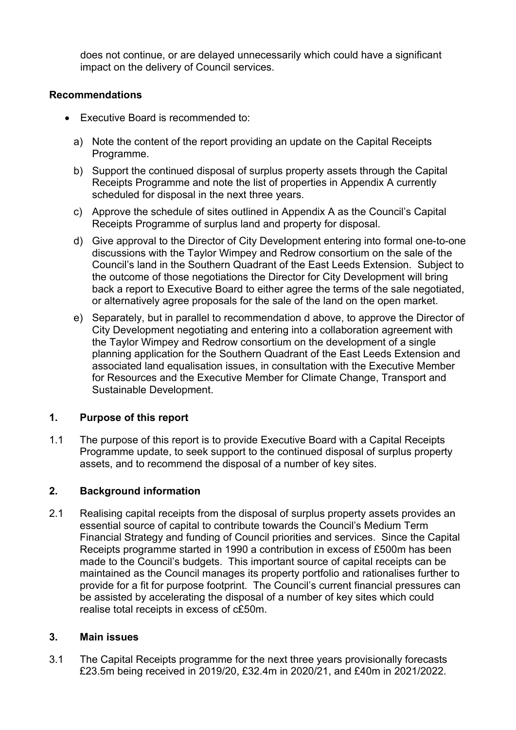does not continue, or are delayed unnecessarily which could have a significant impact on the delivery of Council services.

# **Recommendations**

- Executive Board is recommended to:
	- a) Note the content of the report providing an update on the Capital Receipts Programme.
	- b) Support the continued disposal of surplus property assets through the Capital Receipts Programme and note the list of properties in Appendix A currently scheduled for disposal in the next three years.
	- c) Approve the schedule of sites outlined in Appendix A as the Council's Capital Receipts Programme of surplus land and property for disposal.
	- d) Give approval to the Director of City Development entering into formal one-to-one discussions with the Taylor Wimpey and Redrow consortium on the sale of the Council's land in the Southern Quadrant of the East Leeds Extension. Subject to the outcome of those negotiations the Director for City Development will bring back a report to Executive Board to either agree the terms of the sale negotiated, or alternatively agree proposals for the sale of the land on the open market.
	- e) Separately, but in parallel to recommendation d above, to approve the Director of City Development negotiating and entering into a collaboration agreement with the Taylor Wimpey and Redrow consortium on the development of a single planning application for the Southern Quadrant of the East Leeds Extension and associated land equalisation issues, in consultation with the Executive Member for Resources and the Executive Member for Climate Change, Transport and Sustainable Development.

# **1. Purpose of this report**

1.1 The purpose of this report is to provide Executive Board with a Capital Receipts Programme update, to seek support to the continued disposal of surplus property assets, and to recommend the disposal of a number of key sites.

#### **2. Background information**

2.1 Realising capital receipts from the disposal of surplus property assets provides an essential source of capital to contribute towards the Council's Medium Term Financial Strategy and funding of Council priorities and services. Since the Capital Receipts programme started in 1990 a contribution in excess of £500m has been made to the Council's budgets. This important source of capital receipts can be maintained as the Council manages its property portfolio and rationalises further to provide for a fit for purpose footprint. The Council's current financial pressures can be assisted by accelerating the disposal of a number of key sites which could realise total receipts in excess of c£50m.

#### **3. Main issues**

3.1 The Capital Receipts programme for the next three years provisionally forecasts £23.5m being received in 2019/20, £32.4m in 2020/21, and £40m in 2021/2022.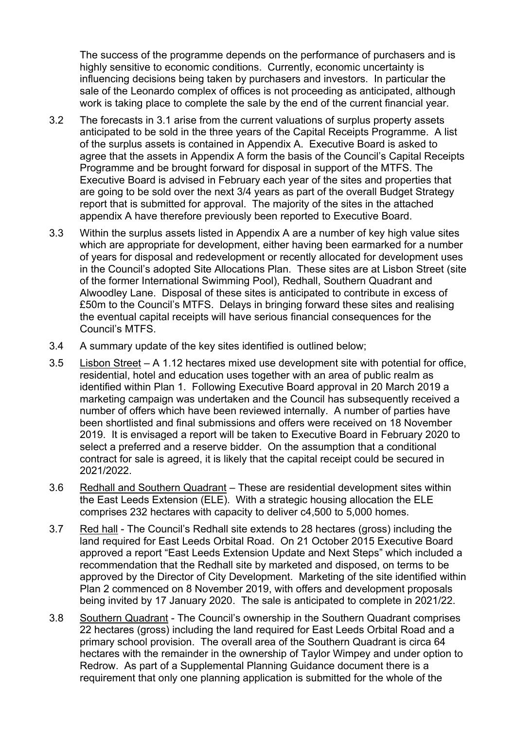The success of the programme depends on the performance of purchasers and is highly sensitive to economic conditions. Currently, economic uncertainty is influencing decisions being taken by purchasers and investors. In particular the sale of the Leonardo complex of offices is not proceeding as anticipated, although work is taking place to complete the sale by the end of the current financial year.

- 3.2 The forecasts in 3.1 arise from the current valuations of surplus property assets anticipated to be sold in the three years of the Capital Receipts Programme. A list of the surplus assets is contained in Appendix A. Executive Board is asked to agree that the assets in Appendix A form the basis of the Council's Capital Receipts Programme and be brought forward for disposal in support of the MTFS. The Executive Board is advised in February each year of the sites and properties that are going to be sold over the next 3/4 years as part of the overall Budget Strategy report that is submitted for approval. The majority of the sites in the attached appendix A have therefore previously been reported to Executive Board.
- 3.3 Within the surplus assets listed in Appendix A are a number of key high value sites which are appropriate for development, either having been earmarked for a number of years for disposal and redevelopment or recently allocated for development uses in the Council's adopted Site Allocations Plan. These sites are at Lisbon Street (site of the former International Swimming Pool), Redhall, Southern Quadrant and Alwoodley Lane. Disposal of these sites is anticipated to contribute in excess of £50m to the Council's MTFS. Delays in bringing forward these sites and realising the eventual capital receipts will have serious financial consequences for the Council's MTFS.
- 3.4 A summary update of the key sites identified is outlined below;
- 3.5 Lisbon Street A 1.12 hectares mixed use development site with potential for office, residential, hotel and education uses together with an area of public realm as identified within Plan 1. Following Executive Board approval in 20 March 2019 a marketing campaign was undertaken and the Council has subsequently received a number of offers which have been reviewed internally. A number of parties have been shortlisted and final submissions and offers were received on 18 November 2019. It is envisaged a report will be taken to Executive Board in February 2020 to select a preferred and a reserve bidder. On the assumption that a conditional contract for sale is agreed, it is likely that the capital receipt could be secured in 2021/2022.
- 3.6 Redhall and Southern Quadrant These are residential development sites within the East Leeds Extension (ELE). With a strategic housing allocation the ELE comprises 232 hectares with capacity to deliver c4,500 to 5,000 homes.
- 3.7 Red hall The Council's Redhall site extends to 28 hectares (gross) including the land required for East Leeds Orbital Road. On 21 October 2015 Executive Board approved a report "East Leeds Extension Update and Next Steps" which included a recommendation that the Redhall site by marketed and disposed, on terms to be approved by the Director of City Development. Marketing of the site identified within Plan 2 commenced on 8 November 2019, with offers and development proposals being invited by 17 January 2020. The sale is anticipated to complete in 2021/22.
- 3.8 Southern Quadrant The Council's ownership in the Southern Quadrant comprises 22 hectares (gross) including the land required for East Leeds Orbital Road and a primary school provision. The overall area of the Southern Quadrant is circa 64 hectares with the remainder in the ownership of Taylor Wimpey and under option to Redrow. As part of a Supplemental Planning Guidance document there is a requirement that only one planning application is submitted for the whole of the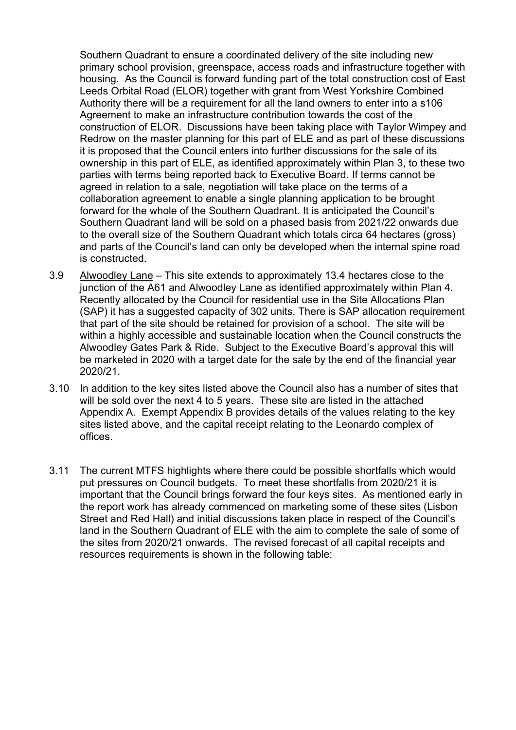Southern Quadrant to ensure a coordinated delivery of the site including new primary school provision, greenspace, access roads and infrastructure together with housing. As the Council is forward funding part of the total construction cost of East Leeds Orbital Road (ELOR) together with grant from West Yorkshire Combined Authority there will be a requirement for all the land owners to enter into a s106 Agreement to make an infrastructure contribution towards the cost of the construction of ELOR. Discussions have been taking place with Taylor Wimpey and Redrow on the master planning for this part of ELE and as part of these discussions it is proposed that the Council enters into further discussions for the sale of its ownership in this part of ELE, as identified approximately within Plan 3, to these two parties with terms being reported back to Executive Board. If terms cannot be agreed in relation to a sale, negotiation will take place on the terms of a collaboration agreement to enable a single planning application to be brought forward for the whole of the Southern Quadrant. It is anticipated the Council's Southern Quadrant land will be sold on a phased basis from 2021/22 onwards due to the overall size of the Southern Quadrant which totals circa 64 hectares (gross) and parts of the Council's land can only be developed when the internal spine road is constructed.

- 3.9 Alwoodley Lane This site extends to approximately 13.4 hectares close to the junction of the A61 and Alwoodley Lane as identified approximately within Plan 4. Recently allocated by the Council for residential use in the Site Allocations Plan (SAP) it has a suggested capacity of 302 units. There is SAP allocation requirement that part of the site should be retained for provision of a school. The site will be within a highly accessible and sustainable location when the Council constructs the Alwoodley Gates Park & Ride. Subject to the Executive Board's approval this will be marketed in 2020 with a target date for the sale by the end of the financial year 2020/21.
- 3.10 In addition to the key sites listed above the Council also has a number of sites that will be sold over the next 4 to 5 years. These site are listed in the attached Appendix A. Exempt Appendix B provides details of the values relating to the key sites listed above, and the capital receipt relating to the Leonardo complex of offices.
- 3.11 The current MTFS highlights where there could be possible shortfalls which would put pressures on Council budgets. To meet these shortfalls from 2020/21 it is important that the Council brings forward the four keys sites. As mentioned early in the report work has already commenced on marketing some of these sites (Lisbon Street and Red Hall) and initial discussions taken place in respect of the Council's land in the Southern Quadrant of ELE with the aim to complete the sale of some of the sites from 2020/21 onwards. The revised forecast of all capital receipts and resources requirements is shown in the following table: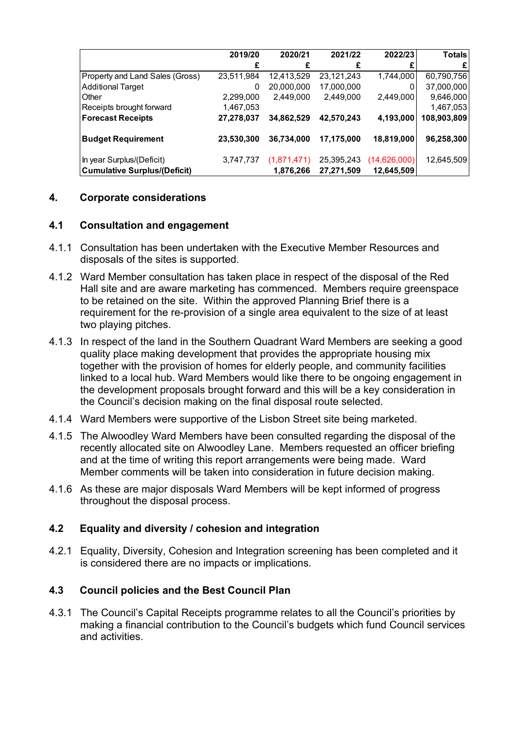|                                     | 2019/20    | 2020/21     | 2021/22    | 2022/23      | <b>Totals</b> |
|-------------------------------------|------------|-------------|------------|--------------|---------------|
|                                     |            |             |            |              | £             |
| Property and Land Sales (Gross)     | 23,511,984 | 12,413,529  | 23,121,243 | 1,744,000    | 60,790,756    |
| <b>Additional Target</b>            | 0          | 20,000,000  | 17,000,000 |              | 37,000,000    |
| Other                               | 2,299,000  | 2,449,000   | 2,449,000  | 2,449,000    | 9,646,000     |
| Receipts brought forward            | 1,467,053  |             |            |              | 1,467,053     |
| <b>Forecast Receipts</b>            | 27,278,037 | 34,862,529  | 42,570,243 | 4,193,000    | 108,903,809   |
| <b>Budget Requirement</b>           | 23,530,300 | 36,734,000  | 17,175,000 | 18,819,000   | 96,258,300    |
| In year Surplus/(Deficit)           | 3,747,737  | (1,871,471) | 25,395,243 | (14,626,000) | 12,645,509    |
| <b>Cumulative Surplus/(Deficit)</b> |            | 1,876,266   | 27,271,509 | 12,645,509   |               |

# **4. Corporate considerations**

#### **4.1 Consultation and engagement**

- 4.1.1 Consultation has been undertaken with the Executive Member Resources and disposals of the sites is supported.
- 4.1.2 Ward Member consultation has taken place in respect of the disposal of the Red Hall site and are aware marketing has commenced. Members require greenspace to be retained on the site. Within the approved Planning Brief there is a requirement for the re-provision of a single area equivalent to the size of at least two playing pitches.
- 4.1.3 In respect of the land in the Southern Quadrant Ward Members are seeking a good quality place making development that provides the appropriate housing mix together with the provision of homes for elderly people, and community facilities linked to a local hub. Ward Members would like there to be ongoing engagement in the development proposals brought forward and this will be a key consideration in the Council's decision making on the final disposal route selected.
- 4.1.4 Ward Members were supportive of the Lisbon Street site being marketed.
- 4.1.5 The Alwoodley Ward Members have been consulted regarding the disposal of the recently allocated site on Alwoodley Lane. Members requested an officer briefing and at the time of writing this report arrangements were being made. Ward Member comments will be taken into consideration in future decision making.
- 4.1.6 As these are major disposals Ward Members will be kept informed of progress throughout the disposal process.

#### **4.2 Equality and diversity / cohesion and integration**

4.2.1 Equality, Diversity, Cohesion and Integration screening has been completed and it is considered there are no impacts or implications.

#### **4.3 Council policies and the Best Council Plan**

4.3.1 The Council's Capital Receipts programme relates to all the Council's priorities by making a financial contribution to the Council's budgets which fund Council services and activities.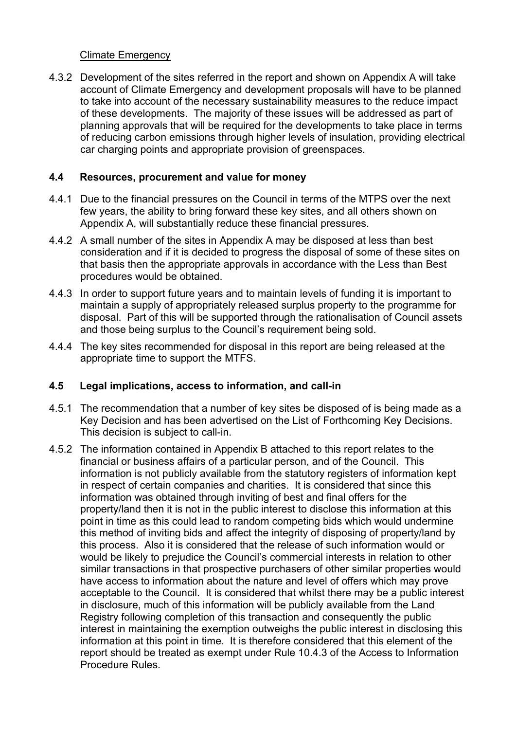# Climate Emergency

4.3.2 Development of the sites referred in the report and shown on Appendix A will take account of Climate Emergency and development proposals will have to be planned to take into account of the necessary sustainability measures to the reduce impact of these developments. The majority of these issues will be addressed as part of planning approvals that will be required for the developments to take place in terms of reducing carbon emissions through higher levels of insulation, providing electrical car charging points and appropriate provision of greenspaces.

# **4.4 Resources, procurement and value for money**

- 4.4.1 Due to the financial pressures on the Council in terms of the MTPS over the next few years, the ability to bring forward these key sites, and all others shown on Appendix A, will substantially reduce these financial pressures.
- 4.4.2 A small number of the sites in Appendix A may be disposed at less than best consideration and if it is decided to progress the disposal of some of these sites on that basis then the appropriate approvals in accordance with the Less than Best procedures would be obtained.
- 4.4.3 In order to support future years and to maintain levels of funding it is important to maintain a supply of appropriately released surplus property to the programme for disposal. Part of this will be supported through the rationalisation of Council assets and those being surplus to the Council's requirement being sold.
- 4.4.4 The key sites recommended for disposal in this report are being released at the appropriate time to support the MTFS.

# **4.5 Legal implications, access to information, and call-in**

- 4.5.1 The recommendation that a number of key sites be disposed of is being made as a Key Decision and has been advertised on the List of Forthcoming Key Decisions. This decision is subject to call-in.
- 4.5.2 The information contained in Appendix B attached to this report relates to the financial or business affairs of a particular person, and of the Council. This information is not publicly available from the statutory registers of information kept in respect of certain companies and charities. It is considered that since this information was obtained through inviting of best and final offers for the property/land then it is not in the public interest to disclose this information at this point in time as this could lead to random competing bids which would undermine this method of inviting bids and affect the integrity of disposing of property/land by this process. Also it is considered that the release of such information would or would be likely to prejudice the Council's commercial interests in relation to other similar transactions in that prospective purchasers of other similar properties would have access to information about the nature and level of offers which may prove acceptable to the Council. It is considered that whilst there may be a public interest in disclosure, much of this information will be publicly available from the Land Registry following completion of this transaction and consequently the public interest in maintaining the exemption outweighs the public interest in disclosing this information at this point in time. It is therefore considered that this element of the report should be treated as exempt under Rule 10.4.3 of the Access to Information Procedure Rules.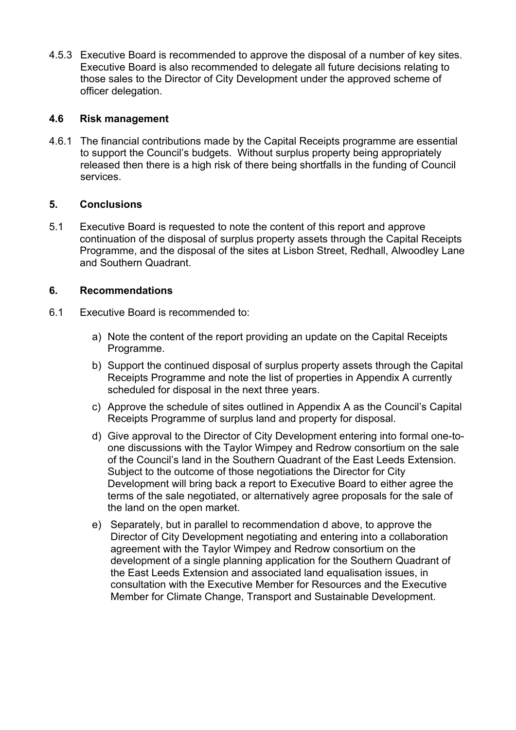4.5.3 Executive Board is recommended to approve the disposal of a number of key sites. Executive Board is also recommended to delegate all future decisions relating to those sales to the Director of City Development under the approved scheme of officer delegation.

# **4.6 Risk management**

4.6.1 The financial contributions made by the Capital Receipts programme are essential to support the Council's budgets. Without surplus property being appropriately released then there is a high risk of there being shortfalls in the funding of Council services.

#### **5. Conclusions**

5.1 Executive Board is requested to note the content of this report and approve continuation of the disposal of surplus property assets through the Capital Receipts Programme, and the disposal of the sites at Lisbon Street, Redhall, Alwoodley Lane and Southern Quadrant.

# **6. Recommendations**

- 6.1 Executive Board is recommended to:
	- a) Note the content of the report providing an update on the Capital Receipts Programme.
	- b) Support the continued disposal of surplus property assets through the Capital Receipts Programme and note the list of properties in Appendix A currently scheduled for disposal in the next three years.
	- c) Approve the schedule of sites outlined in Appendix A as the Council's Capital Receipts Programme of surplus land and property for disposal.
	- d) Give approval to the Director of City Development entering into formal one-toone discussions with the Taylor Wimpey and Redrow consortium on the sale of the Council's land in the Southern Quadrant of the East Leeds Extension. Subject to the outcome of those negotiations the Director for City Development will bring back a report to Executive Board to either agree the terms of the sale negotiated, or alternatively agree proposals for the sale of the land on the open market.
	- e) Separately, but in parallel to recommendation d above, to approve the Director of City Development negotiating and entering into a collaboration agreement with the Taylor Wimpey and Redrow consortium on the development of a single planning application for the Southern Quadrant of the East Leeds Extension and associated land equalisation issues, in consultation with the Executive Member for Resources and the Executive Member for Climate Change, Transport and Sustainable Development.